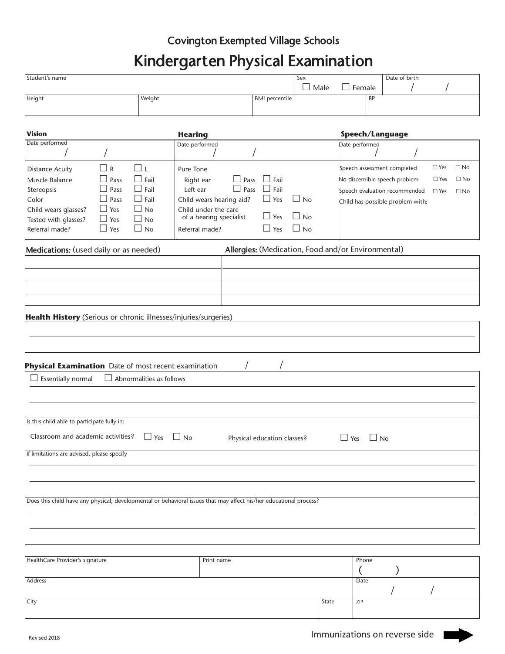## Covington Exempted Village Schools

## Kindergarten Physical Examination

|                                                                                                                                                                                                                                 | Kindergarten Physical Examination                                                                                                              |                                                                                                           |                                                                      |                                        |                                                              |                                                                   |                                                                                        |
|---------------------------------------------------------------------------------------------------------------------------------------------------------------------------------------------------------------------------------|------------------------------------------------------------------------------------------------------------------------------------------------|-----------------------------------------------------------------------------------------------------------|----------------------------------------------------------------------|----------------------------------------|--------------------------------------------------------------|-------------------------------------------------------------------|----------------------------------------------------------------------------------------|
| Student's name                                                                                                                                                                                                                  |                                                                                                                                                |                                                                                                           |                                                                      | Sex<br>$\Box$ Male                     | $\Box$ Female                                                | Date of birth                                                     |                                                                                        |
| Height                                                                                                                                                                                                                          | Weight                                                                                                                                         |                                                                                                           | <b>BMI</b> percentile                                                |                                        | BP                                                           |                                                                   |                                                                                        |
| <b>Vision</b>                                                                                                                                                                                                                   | <b>Hearing</b>                                                                                                                                 |                                                                                                           |                                                                      |                                        | Speech/Language                                              |                                                                   |                                                                                        |
| Date performed                                                                                                                                                                                                                  | Date performed                                                                                                                                 |                                                                                                           |                                                                      |                                        | Date performed                                               |                                                                   |                                                                                        |
| $\Box$ R<br><b>Distance Acuity</b><br>Muscle Balance<br>Pass<br>Ш<br>Pass<br>Stereopsis<br>Color<br>$\perp$<br>Pass<br>Child wears glasses?<br>$\Box$ Yes<br>Tested with glasses?<br>$\Box$ Yes<br>Referral made?<br>$\Box$ Yes | □ι<br>Pure Tone<br>$\Box$ Fail<br>Right ear<br>$\Box$ Fail<br>Left ear<br>$\Box$ Fail<br>$\Box$ No<br>$\Box$ No<br>$\Box$ No<br>Referral made? | $\Box$ Pass<br>$\Box$ Pass<br>Child wears hearing aid?<br>Child under the care<br>of a hearing specialist | $\Box$ Fail<br>$\Box$ Fail<br>$\Box$ Yes<br>$\Box$ Yes<br>$\Box$ Yes | $\Box$ No<br>$\Box$ No<br>$\square$ No | Speech assessment completed<br>No discernible speech problem | Speech evaluation recommended<br>Child has possible problem with: | $\Box$ Yes<br>$\square$ No<br>$\square$ No<br>$\Box$ Yes<br>$\Box$ Yes<br>$\square$ No |
| Medications: (used daily or as needed)                                                                                                                                                                                          |                                                                                                                                                |                                                                                                           |                                                                      |                                        | Allergies: (Medication, Food and/or Environmental)           |                                                                   |                                                                                        |
|                                                                                                                                                                                                                                 |                                                                                                                                                |                                                                                                           |                                                                      |                                        |                                                              |                                                                   |                                                                                        |
|                                                                                                                                                                                                                                 |                                                                                                                                                |                                                                                                           |                                                                      |                                        |                                                              |                                                                   |                                                                                        |
|                                                                                                                                                                                                                                 |                                                                                                                                                |                                                                                                           |                                                                      |                                        |                                                              |                                                                   |                                                                                        |
| Health History (Serious or chronic illnesses/injuries/surgeries)                                                                                                                                                                |                                                                                                                                                |                                                                                                           |                                                                      |                                        |                                                              |                                                                   |                                                                                        |
|                                                                                                                                                                                                                                 |                                                                                                                                                |                                                                                                           |                                                                      |                                        |                                                              |                                                                   |                                                                                        |
|                                                                                                                                                                                                                                 |                                                                                                                                                |                                                                                                           |                                                                      |                                        |                                                              |                                                                   |                                                                                        |
| Physical Examination Date of most recent examination                                                                                                                                                                            |                                                                                                                                                |                                                                                                           |                                                                      |                                        |                                                              |                                                                   |                                                                                        |
| Essentially normal                                                                                                                                                                                                              | $\Box$ Abnormalities as follows                                                                                                                |                                                                                                           |                                                                      |                                        |                                                              |                                                                   |                                                                                        |
|                                                                                                                                                                                                                                 |                                                                                                                                                |                                                                                                           |                                                                      |                                        |                                                              |                                                                   |                                                                                        |
|                                                                                                                                                                                                                                 |                                                                                                                                                |                                                                                                           |                                                                      |                                        |                                                              |                                                                   |                                                                                        |
| Is this child able to participate fully in:                                                                                                                                                                                     |                                                                                                                                                |                                                                                                           |                                                                      |                                        |                                                              |                                                                   |                                                                                        |
| Classroom and academic activities?                                                                                                                                                                                              | $\Box$ Yes $\Box$ No                                                                                                                           |                                                                                                           | Physical education classes?                                          |                                        | $\Box$ Yes $\Box$ No                                         |                                                                   |                                                                                        |
| If limitations are advised, please specify                                                                                                                                                                                      |                                                                                                                                                |                                                                                                           |                                                                      |                                        |                                                              |                                                                   |                                                                                        |
|                                                                                                                                                                                                                                 |                                                                                                                                                |                                                                                                           |                                                                      |                                        |                                                              |                                                                   |                                                                                        |
|                                                                                                                                                                                                                                 |                                                                                                                                                |                                                                                                           |                                                                      |                                        |                                                              |                                                                   |                                                                                        |
| Does this child have any physical, developmental or behavioral issues that may affect his/her educational process?                                                                                                              |                                                                                                                                                |                                                                                                           |                                                                      |                                        |                                                              |                                                                   |                                                                                        |
|                                                                                                                                                                                                                                 |                                                                                                                                                |                                                                                                           |                                                                      |                                        |                                                              |                                                                   |                                                                                        |
|                                                                                                                                                                                                                                 |                                                                                                                                                |                                                                                                           |                                                                      |                                        |                                                              |                                                                   |                                                                                        |
| HealthCare Provider's signature                                                                                                                                                                                                 |                                                                                                                                                | Print name                                                                                                |                                                                      |                                        | Phone                                                        |                                                                   |                                                                                        |

| HealthCare Provider's signature | Print name | Phone |      |  |  |
|---------------------------------|------------|-------|------|--|--|
|                                 |            |       |      |  |  |
| Address                         |            |       | Date |  |  |
|                                 |            |       |      |  |  |
| City                            |            | State | ZIP  |  |  |
|                                 |            |       |      |  |  |